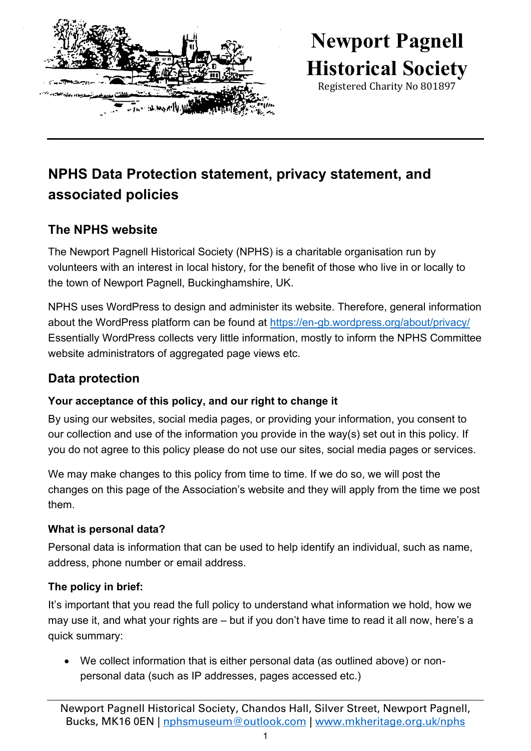

# **Newport Pagnell Historical Society**

Registered Charity No 801897

## **NPHS Data Protection statement, privacy statement, and associated policies**

### **The NPHS website**

The Newport Pagnell Historical Society (NPHS) is a charitable organisation run by volunteers with an interest in local history, for the benefit of those who live in or locally to the town of Newport Pagnell, Buckinghamshire, UK.

NPHS uses WordPress to design and administer its website. Therefore, general information about the WordPress platform can be found at<https://en-gb.wordpress.org/about/privacy/> Essentially WordPress collects very little information, mostly to inform the NPHS Committee website administrators of aggregated page views etc.

### **Data protection**

#### **Your acceptance of this policy, and our right to change it**

By using our websites, social media pages, or providing your information, you consent to our collection and use of the information you provide in the way(s) set out in this policy. If you do not agree to this policy please do not use our sites, social media pages or services.

We may make changes to this policy from time to time. If we do so, we will post the changes on this page of the Association's website and they will apply from the time we post them.

#### **What is personal data?**

Personal data is information that can be used to help identify an individual, such as name, address, phone number or email address.

#### **The policy in brief:**

It's important that you read the full policy to understand what information we hold, how we may use it, and what your rights are – but if you don't have time to read it all now, here's a quick summary:

• We collect information that is either personal data (as outlined above) or nonpersonal data (such as IP addresses, pages accessed etc.)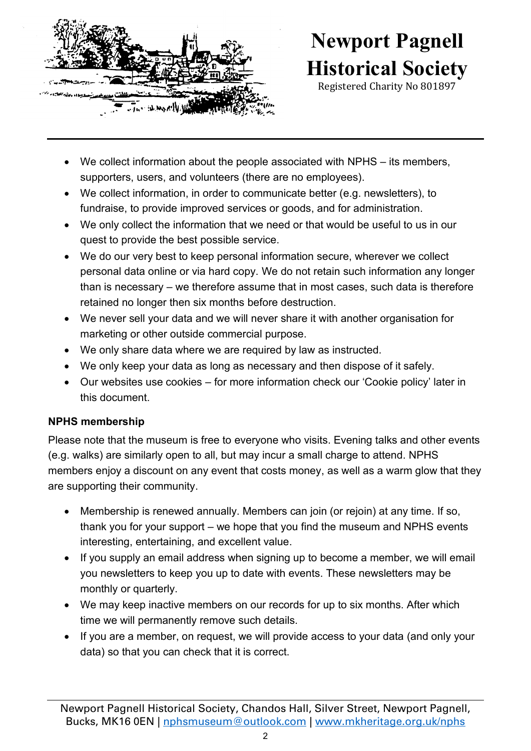

# **Newport Pagnell Historical Society**

Registered Charity No 801897

- We collect information about the people associated with NPHS its members, supporters, users, and volunteers (there are no employees).
- We collect information, in order to communicate better (e.g. newsletters), to fundraise, to provide improved services or goods, and for administration.
- We only collect the information that we need or that would be useful to us in our quest to provide the best possible service.
- We do our very best to keep personal information secure, wherever we collect personal data online or via hard copy. We do not retain such information any longer than is necessary – we therefore assume that in most cases, such data is therefore retained no longer then six months before destruction.
- We never sell your data and we will never share it with another organisation for marketing or other outside commercial purpose.
- We only share data where we are required by law as instructed.
- We only keep your data as long as necessary and then dispose of it safely.
- Our websites use cookies for more information check our 'Cookie policy' later in this document.

#### **NPHS membership**

Please note that the museum is free to everyone who visits. Evening talks and other events (e.g. walks) are similarly open to all, but may incur a small charge to attend. NPHS members enjoy a discount on any event that costs money, as well as a warm glow that they are supporting their community.

- Membership is renewed annually. Members can join (or rejoin) at any time. If so, thank you for your support – we hope that you find the museum and NPHS events interesting, entertaining, and excellent value.
- If you supply an email address when signing up to become a member, we will email you newsletters to keep you up to date with events. These newsletters may be monthly or quarterly.
- We may keep inactive members on our records for up to six months. After which time we will permanently remove such details.
- If you are a member, on request, we will provide access to your data (and only your data) so that you can check that it is correct.